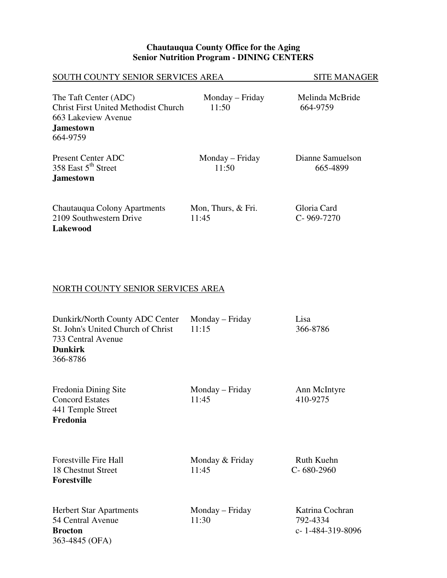#### **Chautauqua County Office for the Aging Senior Nutrition Program - DINING CENTERS**

| SOUTH COUNTY SENIOR SERVICES AREA                                                                                           |                             | <b>SITE MANAGER</b>             |
|-----------------------------------------------------------------------------------------------------------------------------|-----------------------------|---------------------------------|
| The Taft Center (ADC)<br><b>Christ First United Methodist Church</b><br>663 Lakeview Avenue<br><b>Jamestown</b><br>664-9759 | Monday – Friday<br>11:50    | Melinda McBride<br>664-9759     |
| Present Center ADC<br>358 East 5 <sup>th</sup> Street<br><b>Jamestown</b>                                                   | Monday – Friday<br>11:50    | Dianne Samuelson<br>665-4899    |
| Chautauqua Colony Apartments<br>2109 Southwestern Drive<br>Lakewood                                                         | Mon, Thurs, & Fri.<br>11:45 | Gloria Card<br>$C - 969 - 7270$ |

# NORTH COUNTY SENIOR SERVICES AREA

| Dunkirk/North County ADC Center<br>St. John's United Church of Christ<br>733 Central Avenue<br><b>Dunkirk</b><br>366-8786 | Monday – Friday<br>11:15 | Lisa<br>366-8786                                  |
|---------------------------------------------------------------------------------------------------------------------------|--------------------------|---------------------------------------------------|
| Fredonia Dining Site<br><b>Concord Estates</b><br>441 Temple Street<br>Fredonia                                           | Monday – Friday<br>11:45 | Ann McIntyre<br>410-9275                          |
| <b>Forestville Fire Hall</b><br>18 Chestnut Street<br><b>Forestville</b>                                                  | Monday & Friday<br>11:45 | <b>Ruth Kuehn</b><br>$C - 680 - 2960$             |
| <b>Herbert Star Apartments</b><br>54 Central Avenue<br><b>Brocton</b><br>363-4845 (OFA)                                   | Monday – Friday<br>11:30 | Katrina Cochran<br>792-4334<br>$c-1-484-319-8096$ |